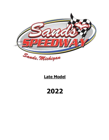

# **Late Model**

**2022**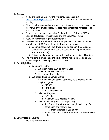# **1. General**

- a. If you are building a car for the first time, please contact [sandsspeedway@gmail.com](mailto:sandsspeedway@gmail.com) to speak to an MCDA representative before building.
- b. All rules will be enforced as written. Each driver and crew are responsible for knowing the track policies. All cars will be inspected for safety and rule compliance.
- c. Drivers and crews are responsible for knowing and following MCDA General Regulations, Track Policies and the Late Model Rules.
- d. Rearview mirrors are highly recommended.
- e. Two-way radios are allowed, one spotter per car. Frequency must be given to the MCDA Board at your first race of the season.
	- i. Communication with the driver must be done in the designated spotter area anytime the car is in competition (top two rows of stands in the pits)
	- ii. Failure to follow spotter rules will result in driver disqualification.
- f. The first time a driver visits the track, he/she will be granted a one (1) time grace period to comply with all the rules.

## **2. Car Eligibility**

- i. Competing Models:
	- 1. American made 1990 to current year.
	- 2. Minimum wheelbase of 104"
	- 3. Rear wheel drive only.
- ii. Weight and Engine Combinations:
	- 1. Crate engines unaltered, 2,600 lbs., 60% left side weight
	- 2. Eligible Engines:
		- a. GM 604
		- b. Ford 347sr
		- c. McGunegil D347sr
	- 3. All Other Engines
		- a. 2,700 lbs.
		- b. Maximum 60% left side weight.
	- 4. All cars must weigh in before qualifying.
		- a. Top 5 scored positions must weigh in directly after completion of a feature race.
			- i. Disqualification if you do not
		- b. 25 lbs. fuel burn off allowance after the feature event only.

#### **3. Safety Requirements**

a. Fire suits are mandatory.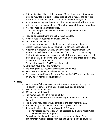- b. A fire extinguisher that is 2 lbs or more, BC rated for metal with a gauge must be mounted in a quick release bracket and is required to be within reach of the driver. Except for cars with an onboard fire system.
- c. An approved racing seat is required. It must be mounted with the center of the seat at a minimum of 15 ½" from the inside of the driver door bar.
- d. A 5-point racing harness is required.
	- i. Mounting of belts and seats MUST be approved by the Tech Inspector.
- e. Head and neck restraints are highly recommended.
- f. Window nets are required on driver's window.
- g. Fan shroud is mandatory.
- h. Leather or racing gloves required. No mechanics gloves allowed.
- i. Leather boots or racing boots required. No athletic shoes allowed.
- j. A helmet is mandatory. SA2010 or newer helmet recommended. DOT mandatory. Neck brace is recommended. Eye protection is mandatory.
- k. A kill switch is required within easy reach of driver and safety workers. It must be clearly marked "Off" and "On" with an orange or red background. It must shut off the entire car.
- l. Fuel must be gasoline **ONLY.** No nitrous oxide.
- m. Cars must have provisions for towing.
- n. Explosion proof bell housing or scatter shield required.
- o. Must have a minimum of 2 driveshaft hoops.
- p. Tech Inspector and Sands Speedway Ownership (SSO) have the final say on any safety related items/decisions.

## **4. Body**

- a. Must be identifiable as a car. No extreme or advantageous body line.
- b. No station wagon, convertibles or pickup truck bodies allowed.
- c. 215" maximum total length.
- d. 82" maximum total width.
- e. Maximum height of 48", minimum of 45".
- f. 15" minimum tolerance from any body length or width maximum dimension.
- g. Tire sidewall may not protrude outside of the body more than 2".
- h. 4" minimum ground clearance from lowest point of the body.
- i. Rear spoiler dimensions are  $60''$  wide by  $6\frac{1}{2}$  high.
	- i. Any radical body designs will be assessed by the Late Model Class Representative for approval.
- j. Firewall may be altered for body and chassis construction. Driver compartment must be sealed from the engine bay, trunk, and fuel cell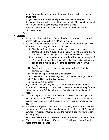area. Floorboards must run from the engine firewall to the rear of the driver seat.

- k. Booger bars (exterior body panel protectors) must be designed so that they cannot hook or catch competitors' equipment. They can be made of steel, aluminum of custom molded with racing plastic.
- l. A full Lexan windshield and rear window are required. No full door windows allowed.
- m. .

# **5. Chassis**

- a. All cars must have a full steel frame. Production racing or custom-built frames will be allowed with a .120" wall minimum.
- b. Roll cage must be constructed of 1 ¾" outside diameter and .090" wall thickness round tubing for the main roll cage.
	- i. Must be an 8-point cage, 4 uprights in driver compartment, complete halo and 4 supporting tubes (2 from main cage to engine bay and 2 from main cage to the rear frame behind the driver).
	- ii. 4 horizontal door bars on the driver side with a minimum height of 29". Right side must have 3 complete door bars. Support bracing can be the minimum of 1 ¼" outside diameter and .060" wall tubing.
	- iii. Cage must be properly braced and supported with all joints completely welded.
	- iv. Additional leg protector bar is mandatory.
	- v. Driver side door bar openings must be plated in with 1/8" plate.
	- vi. Driver rollbar padding is mandatory.
	- vii. Bumpers are mandatory.
- c. Any added ballast (weight) must be painted white and have the car number on it. Mercury is NOT allowed. Weight must be securely fastened with a minimum of ½" diameter bolts. Penalty weights will be painted yellow.
- d. Coil or leaf springs allowed, and any shock allowed; one shock per wheel. Maximum tread width 66" front and rear, measured at the center of the spindle height and center of the rear axle. No electronic traction aided devices.
- e. Fuel cells are required. They must be completely isolated from the driver compartment. They will be securely mounted in a 5 sided, 11 Ga, metal canister. It must be mounted behind the rear axle at a minimum of 10" off the ground.
- f. Must have fully operational 4-wheel brakes. Rotors must be made of iron.
- g. Wheels must be steel only. 15" diameter, 10" width (measured from the inside of the bead flange).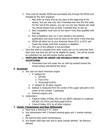- h. Tires must be Hoosier 40/50 and purchased only through the MCDA and branded by the Tech Inspector.
	- i. May order as many tires as you want at the beginning of the season, but you may only race 4 branded new tires the first week. For the rest of the season, you can run one new Hoosier per week. You should always have at least 3 branded tires on the car.
	- ii. Each competitor must race on the same 4 tires they qualified with that day.
	- iii. New competitors may run 4 new Hoosiers, but practice, qualification and races must be done on the same 4 tires that day.
	- iv. MCDA will allow you to race American Racer EC21 or EC31 and Towel City recaps until their inventory is depleted.
	- v. The use of tire softener is not permitted.
- i. Cars that want to compete from other tracks can run on used tires from their track one time but will not be eligible for points. You will be scored as a phantom car and will receive money earned.

# j. **MUFFLERS MUST BE UNDER 100 DECIBALS FROM 100'! NO EXCEPTIONS!**

i. Exhausted must exit under the car with tip pointed toward the racing surface and behind the driver.

# **6. Drivetrain**

- a. Any cast iron block American engine
	- i. 4" setback for:
		- 1. GM 604
		- 2. Ford 347sr
		- 3. McGunegill D347sr
	- ii. 2" setback for all other engines
	- iii. Setback is measured from the center of the upper ball joint to the center of the number 1 sparkplug
	- iv. Pushrod engines only.
- b. Carburetors:
	- i. 4-Barrel Holley 4150hp, 650 cfm p/n 80541 allowed on unaltered GM 604, For 347sr and McGunegill D347sr
	- ii. 2-barrel Holley 4412 on all other engines.

# **7. Clutch, Transmission and Rear Differential**

- a. Must have a minimum 5 ½" clutch
- b. Any transmission with 2 forward working gears and 1 reverse working gear.
- c. No internal style clutch transmissions.
- d. Any floater style type rear end or quick change allowed. No titanium allowed.